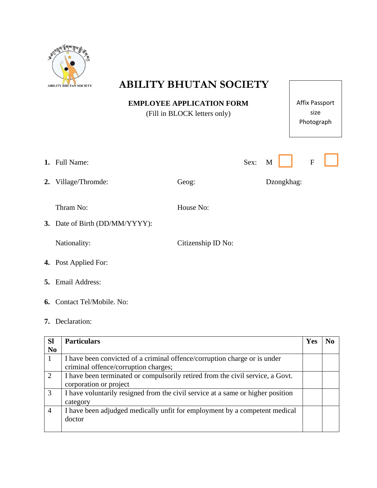

# ABILITY BHUTAN SOCIETY

**EMPLOYEE APPLICATION FORM** (Fill in BLOCK letters only)

Affix Passport size Photograph

| 1. Full Name:                               |                    | Sex: | M          | ${\bf F}$ |  |
|---------------------------------------------|--------------------|------|------------|-----------|--|
| 2. Village/Thromde:                         | Geog:              |      | Dzongkhag: |           |  |
| Thram No:<br>3. Date of Birth (DD/MM/YYYY): | House No:          |      |            |           |  |
| Nationality:                                | Citizenship ID No: |      |            |           |  |
| <b>4.</b> Post Applied For:                 |                    |      |            |           |  |
|                                             |                    |      |            |           |  |

- **5.** Email Address:
- **6.** Contact Tel/Mobile. No:
- **7.** Declaration:

| <b>Sl</b>      | <b>Particulars</b>                                                              | Yes | No. |
|----------------|---------------------------------------------------------------------------------|-----|-----|
| N <sub>0</sub> |                                                                                 |     |     |
|                | I have been convicted of a criminal offence/corruption charge or is under       |     |     |
|                | criminal offence/corruption charges;                                            |     |     |
| 2              | I have been terminated or compulsorily retired from the civil service, a Govt.  |     |     |
|                | corporation or project                                                          |     |     |
| 3              | I have voluntarily resigned from the civil service at a same or higher position |     |     |
|                | category                                                                        |     |     |
| 4              | I have been adjudged medically unfit for employment by a competent medical      |     |     |
|                | doctor                                                                          |     |     |
|                |                                                                                 |     |     |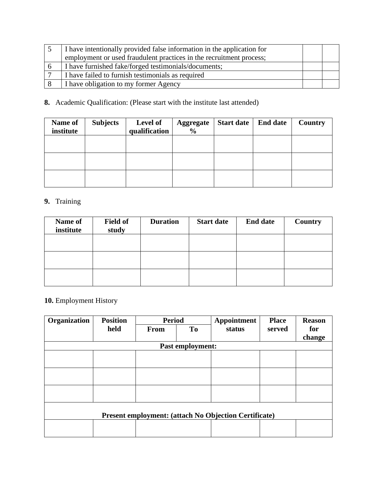| I have intentionally provided false information in the application for |  |
|------------------------------------------------------------------------|--|
| employment or used fraudulent practices in the recruitment process;    |  |
| I have furnished fake/forged testimonials/documents;                   |  |
| I have failed to furnish testimonials as required                      |  |
| I have obligation to my former Agency                                  |  |

### **8.** Academic Qualification: (Please start with the institute last attended)

| Name of<br>institute | <b>Subjects</b> | <b>Level of</b><br>qualification | <b>Aggregate</b><br>$\frac{6}{9}$ | <b>Start date</b> | <b>End date</b> | <b>Country</b> |
|----------------------|-----------------|----------------------------------|-----------------------------------|-------------------|-----------------|----------------|
|                      |                 |                                  |                                   |                   |                 |                |
|                      |                 |                                  |                                   |                   |                 |                |
|                      |                 |                                  |                                   |                   |                 |                |

### **9.** Training

| Name of<br>institute | <b>Field of</b><br>study | <b>Duration</b> | <b>Start date</b> | <b>End date</b> | Country |
|----------------------|--------------------------|-----------------|-------------------|-----------------|---------|
|                      |                          |                 |                   |                 |         |
|                      |                          |                 |                   |                 |         |
|                      |                          |                 |                   |                 |         |

## **10.** Employment History

| Organization                                                 | <b>Position</b> | <b>Period</b> |                  | Appointment | <b>Place</b> | <b>Reason</b> |  |
|--------------------------------------------------------------|-----------------|---------------|------------------|-------------|--------------|---------------|--|
|                                                              | held            | <b>From</b>   | <b>To</b>        | status      | served       | for           |  |
|                                                              |                 |               |                  |             |              | change        |  |
|                                                              |                 |               | Past employment: |             |              |               |  |
|                                                              |                 |               |                  |             |              |               |  |
|                                                              |                 |               |                  |             |              |               |  |
|                                                              |                 |               |                  |             |              |               |  |
|                                                              |                 |               |                  |             |              |               |  |
|                                                              |                 |               |                  |             |              |               |  |
|                                                              |                 |               |                  |             |              |               |  |
| <b>Present employment: (attach No Objection Certificate)</b> |                 |               |                  |             |              |               |  |
|                                                              |                 |               |                  |             |              |               |  |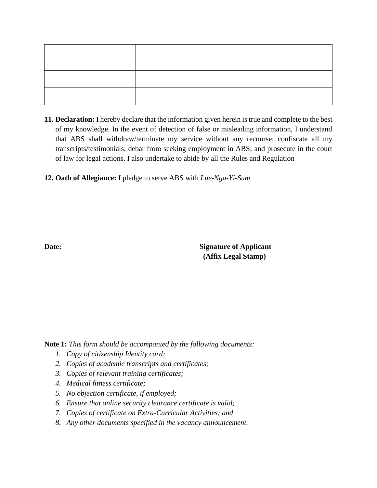**11. Declaration:** I hereby declare that the information given herein is true and complete to the best of my knowledge. In the event of detection of false or misleading information, I understand that ABS shall withdraw/terminate my service without any recourse; confiscate all my transcripts/testimonials; debar from seeking employment in ABS; and prosecute in the court of law for legal actions. I also undertake to abide by all the Rules and Regulation

**12. Oath of Allegiance:** I pledge to serve ABS with *Lue-Nga-Yi-Sum*

**Date: Signature of Applicant (Affix Legal Stamp)**

**Note 1:** *This form should be accompanied by the following documents:*

- *1. Copy of citizenship Identity card;*
- *2. Copies of academic transcripts and certificates;*
- *3. Copies of relevant training certificates;*
- *4. Medical fitness certificate;*
- *5. No objection certificate, if employed;*
- *6. Ensure that online security clearance certificate is valid;*
- *7. Copies of certificate on Extra-Curricular Activities; and*
- *8. Any other documents specified in the vacancy announcement.*